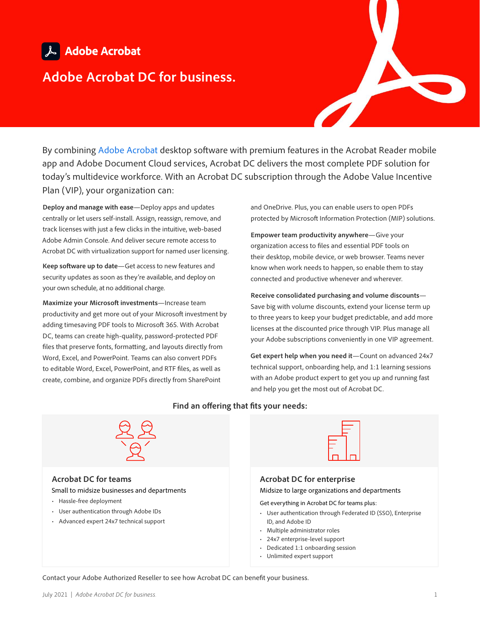# & Adobe Acrobat

## **Adobe Acrobat DC for business.**

By combining [Adobe Acrobat](https://acrobat.adobe.com/us/en/acrobat/business.html) desktop software with premium features in the Acrobat Reader mobile app and Adobe Document Cloud services, Acrobat DC delivers the most complete PDF solution for today's multidevice workforce. With an Acrobat DC subscription through the Adobe Value Incentive Plan (VIP), your organization can:

**Deploy and manage with ease**—Deploy apps and updates centrally or let users self-install. Assign, reassign, remove, and track licenses with just a few clicks in the intuitive, web-based Adobe Admin Console. And deliver secure remote access to Acrobat DC with virtualization support for named user licensing.

**Keep software up to date**—Get access to new features and security updates as soon as they're available, and deploy on your own schedule, at no additional charge.

**Maximize your Microsoft investments**—Increase team productivity and get more out of your Microsoft investment by adding timesaving PDF tools to Microsoft 365. With Acrobat DC, teams can create high-quality, password-protected PDF files that preserve fonts, formatting, and layouts directly from Word, Excel, and PowerPoint. Teams can also convert PDFs to editable Word, Excel, PowerPoint, and RTF files, as well as create, combine, and organize PDFs directly from SharePoint

and OneDrive. Plus, you can enable users to open PDFs protected by Microsoft Information Protection (MIP) solutions.

**Empower team productivity anywhere**—Give your organization access to files and essential PDF tools on their desktop, mobile device, or web browser. Teams never know when work needs to happen, so enable them to stay connected and productive whenever and wherever.

**Receive consolidated purchasing and volume discounts**— Save big with volume discounts, extend your license term up to three years to keep your budget predictable, and add more licenses at the discounted price through VIP. Plus manage all your Adobe subscriptions conveniently in one VIP agreement.

**Get expert help when you need it**—Count on advanced 24x7 technical support, onboarding help, and 1:1 learning sessions with an Adobe product expert to get you up and running fast and help you get the most out of Acrobat DC.

#### **Find an offering that fits your needs:**



**Acrobat DC for teams**  Small to midsize businesses and departments

- Hassle-free deployment
- User authentication through Adobe IDs
- Advanced expert 24x7 technical support



#### **Acrobat DC for enterprise**

Midsize to large organizations and departments

Get everything in Acrobat DC for teams plus:

- User authentication through Federated ID (SSO), Enterprise ID, and Adobe ID
- Multiple administrator roles
- 24x7 enterprise-level support
- Dedicated 1:1 onboarding session
- Unlimited expert support

Contact your Adobe Authorized Reseller to see how Acrobat DC can benefit your business.